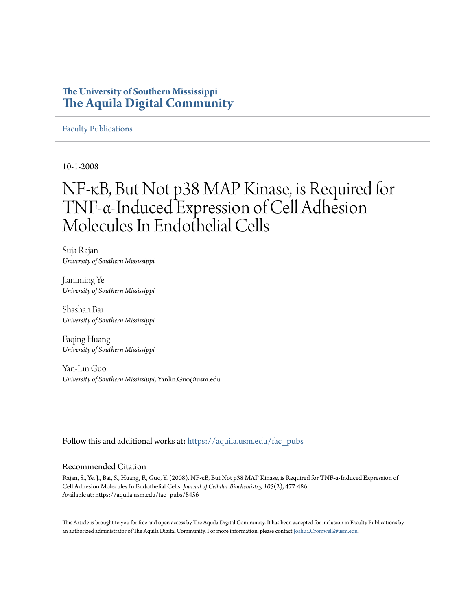## **The University of Southern Mississippi [The Aquila Digital Community](https://aquila.usm.edu?utm_source=aquila.usm.edu%2Ffac_pubs%2F8456&utm_medium=PDF&utm_campaign=PDFCoverPages)**

#### [Faculty Publications](https://aquila.usm.edu/fac_pubs?utm_source=aquila.usm.edu%2Ffac_pubs%2F8456&utm_medium=PDF&utm_campaign=PDFCoverPages)

10-1-2008

# NF‐κB, But Not p38 MAP Kinase, is Required for TNF‐α‐Induced Expression of Cell Adhesion Molecules In Endothelial Cells

Suja Rajan *University of Southern Mississippi*

Jianiming Ye *University of Southern Mississippi*

Shashan Bai *University of Southern Mississippi*

Faqing Huang *University of Southern Mississippi*

Yan-Lin Guo *University of Southern Mississippi*, Yanlin.Guo@usm.edu

Follow this and additional works at: [https://aquila.usm.edu/fac\\_pubs](https://aquila.usm.edu/fac_pubs?utm_source=aquila.usm.edu%2Ffac_pubs%2F8456&utm_medium=PDF&utm_campaign=PDFCoverPages)

#### Recommended Citation

Rajan, S., Ye, J., Bai, S., Huang, F., Guo, Y. (2008). NF‐κB, But Not p38 MAP Kinase, is Required for TNF‐α‐Induced Expression of Cell Adhesion Molecules In Endothelial Cells. *Journal of Cellular Biochemistry, 105*(2), 477-486. Available at: https://aquila.usm.edu/fac\_pubs/8456

This Article is brought to you for free and open access by The Aquila Digital Community. It has been accepted for inclusion in Faculty Publications by an authorized administrator of The Aquila Digital Community. For more information, please contact [Joshua.Cromwell@usm.edu](mailto:Joshua.Cromwell@usm.edu).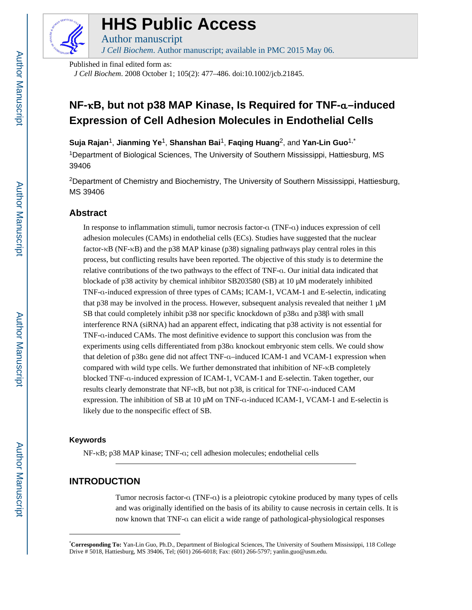

## **HHS Public Access**

Author manuscript *J Cell Biochem*. Author manuscript; available in PMC 2015 May 06.

Published in final edited form as:

*J Cell Biochem*. 2008 October 1; 105(2): 477–486. doi:10.1002/jcb.21845.

## **NF-**κ**B, but not p38 MAP Kinase, Is Required for TNF-**α**–induced Expression of Cell Adhesion Molecules in Endothelial Cells**

**Suja Rajan**1, **Jianming Ye**1, **Shanshan Bai**1, **Faqing Huang**2, and **Yan-Lin Guo**1,\*

<sup>1</sup>Department of Biological Sciences, The University of Southern Mississippi, Hattiesburg, MS 39406

<sup>2</sup>Department of Chemistry and Biochemistry, The University of Southern Mississippi, Hattiesburg, MS 39406

## **Abstract**

In response to inflammation stimuli, tumor necrosis factor-α (TNF-α) induces expression of cell adhesion molecules (CAMs) in endothelial cells (ECs). Studies have suggested that the nuclear factor- $\kappa$ B (NF- $\kappa$ B) and the p38 MAP kinase (p38) signaling pathways play central roles in this process, but conflicting results have been reported. The objective of this study is to determine the relative contributions of the two pathways to the effect of TNF-α. Our initial data indicated that blockade of p38 activity by chemical inhibitor SB203580 (SB) at 10 μM moderately inhibited TNF-α-induced expression of three types of CAMs; ICAM-1, VCAM-1 and E-selectin, indicating that p38 may be involved in the process. However, subsequent analysis revealed that neither 1 μM SB that could completely inhibit p38 nor specific knockdown of p38α and p38β with small interference RNA (siRNA) had an apparent effect, indicating that p38 activity is not essential for TNF-α-induced CAMs. The most definitive evidence to support this conclusion was from the experiments using cells differentiated from p38α knockout embryonic stem cells. We could show that deletion of p38α gene did not affect TNF-α–induced ICAM-1 and VCAM-1 expression when compared with wild type cells. We further demonstrated that inhibition of NF-κB completely blocked TNF-α-induced expression of ICAM-1, VCAM-1 and E-selectin. Taken together, our results clearly demonstrate that NF-κB, but not p38, is critical for TNF-α-induced CAM expression. The inhibition of SB at 10  $\mu$ M on TNF- $\alpha$ -induced ICAM-1, VCAM-1 and E-selectin is likely due to the nonspecific effect of SB.

#### **Keywords**

NF-κB; p38 MAP kinase; TNF-α; cell adhesion molecules; endothelial cells

## **INTRODUCTION**

Tumor necrosis factor-α (TNF-α) is a pleiotropic cytokine produced by many types of cells and was originally identified on the basis of its ability to cause necrosis in certain cells. It is now known that TNF-α can elicit a wide range of pathological-physiological responses

<sup>\*</sup>**Corresponding To:** Yan-Lin Guo, Ph.D., Department of Biological Sciences, The University of Southern Mississippi, 118 College Drive # 5018, Hattiesburg, MS 39406, Tel; (601) 266-6018; Fax: (601) 266-5797; yanlin.guo@usm.edu.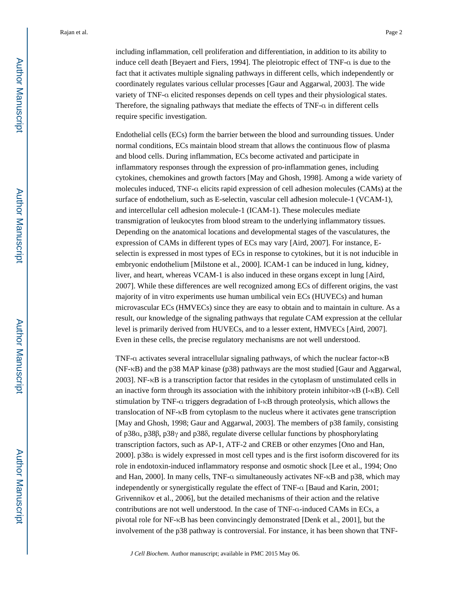including inflammation, cell proliferation and differentiation, in addition to its ability to induce cell death [Beyaert and Fiers, 1994]. The pleiotropic effect of TNF-α is due to the fact that it activates multiple signaling pathways in different cells, which independently or coordinately regulates various cellular processes [Gaur and Aggarwal, 2003]. The wide variety of TNF-α elicited responses depends on cell types and their physiological states. Therefore, the signaling pathways that mediate the effects of TNF-α in different cells require specific investigation.

Endothelial cells (ECs) form the barrier between the blood and surrounding tissues. Under normal conditions, ECs maintain blood stream that allows the continuous flow of plasma and blood cells. During inflammation, ECs become activated and participate in inflammatory responses through the expression of pro-inflammation genes, including cytokines, chemokines and growth factors [May and Ghosh, 1998]. Among a wide variety of molecules induced, TNF-α elicits rapid expression of cell adhesion molecules (CAMs) at the surface of endothelium, such as E-selectin, vascular cell adhesion molecule-1 (VCAM-1), and intercellular cell adhesion molecule-1 (ICAM-1). These molecules mediate transmigration of leukocytes from blood stream to the underlying inflammatory tissues. Depending on the anatomical locations and developmental stages of the vasculatures, the expression of CAMs in different types of ECs may vary [Aird, 2007]. For instance, Eselectin is expressed in most types of ECs in response to cytokines, but it is not inducible in embryonic endothelium [Milstone et al., 2000]. ICAM-1 can be induced in lung, kidney, liver, and heart, whereas VCAM-1 is also induced in these organs except in lung [Aird, 2007]. While these differences are well recognized among ECs of different origins, the vast majority of in vitro experiments use human umbilical vein ECs (HUVECs) and human microvascular ECs (HMVECs) since they are easy to obtain and to maintain in culture. As a result, our knowledge of the signaling pathways that regulate CAM expression at the cellular level is primarily derived from HUVECs, and to a lesser extent, HMVECs [Aird, 2007]. Even in these cells, the precise regulatory mechanisms are not well understood.

TNF-α activates several intracellular signaling pathways, of which the nuclear factor-κB (NF-κB) and the p38 MAP kinase (p38) pathways are the most studied [Gaur and Aggarwal, 2003]. NF-κB is a transcription factor that resides in the cytoplasm of unstimulated cells in an inactive form through its association with the inhibitory protein inhibitor- $\kappa$ B (I- $\kappa$ B). Cell stimulation by TNF-α triggers degradation of I-κB through proteolysis, which allows the translocation of NF-κB from cytoplasm to the nucleus where it activates gene transcription [May and Ghosh, 1998; Gaur and Aggarwal, 2003]. The members of p38 family, consisting of p38α, p38β, p38γ and p38δ, regulate diverse cellular functions by phosphorylating transcription factors, such as AP-1, ATF-2 and CREB or other enzymes [Ono and Han, 2000]. p38α is widely expressed in most cell types and is the first isoform discovered for its role in endotoxin-induced inflammatory response and osmotic shock [Lee et al., 1994; Ono and Han, 2000]. In many cells, TNF-α simultaneously activates NF-κB and p38, which may independently or synergistically regulate the effect of TNF-α [Baud and Karin, 2001; Grivennikov et al., 2006], but the detailed mechanisms of their action and the relative contributions are not well understood. In the case of TNF-α-induced CAMs in ECs, a pivotal role for NF-κB has been convincingly demonstrated [Denk et al., 2001], but the involvement of the p38 pathway is controversial. For instance, it has been shown that TNF-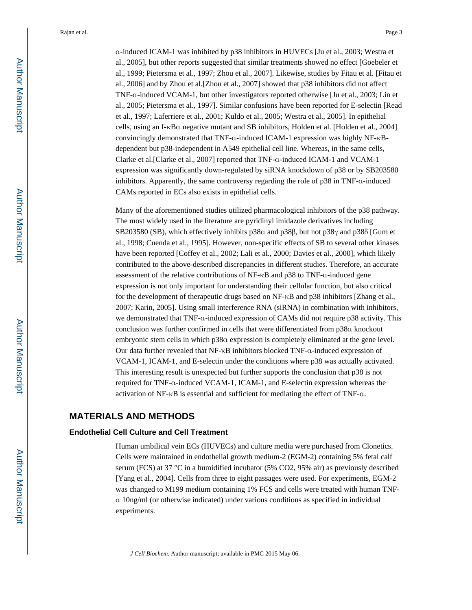α-induced ICAM-1 was inhibited by p38 inhibitors in HUVECs [Ju et al., 2003; Westra et al., 2005], but other reports suggested that similar treatments showed no effect [Goebeler et al., 1999; Pietersma et al., 1997; Zhou et al., 2007]. Likewise, studies by Fitau et al. [Fitau et al., 2006] and by Zhou et al.[Zhou et al., 2007] showed that p38 inhibitors did not affect TNF-α-induced VCAM-1, but other investigators reported otherwise [Ju et al., 2003; Lin et al., 2005; Pietersma et al., 1997]. Similar confusions have been reported for E-selectin [Read et al., 1997; Laferriere et al., 2001; Kuldo et al., 2005; Westra et al., 2005]. In epithelial cells, using an I-κBα negative mutant and SB inhibitors, Holden et al. [Holden et al., 2004] convincingly demonstrated that TNF-α-induced ICAM-1 expression was highly NF-κBdependent but p38-independent in A549 epithelial cell line. Whereas, in the same cells, Clarke et al.[Clarke et al., 2007] reported that TNF-α-induced ICAM-1 and VCAM-1 expression was significantly down-regulated by siRNA knockdown of p38 or by SB203580 inhibitors. Apparently, the same controversy regarding the role of p38 in TNF-α-induced CAMs reported in ECs also exists in epithelial cells.

Many of the aforementioned studies utilized pharmacological inhibitors of the p38 pathway. The most widely used in the literature are pyridinyl imidazole derivatives including SB203580 (SB), which effectively inhibits p38α and p38β, but not p38γ and p38δ [Gum et al., 1998; Cuenda et al., 1995]. However, non-specific effects of SB to several other kinases have been reported [Coffey et al., 2002; Lali et al., 2000; Davies et al., 2000], which likely contributed to the above-described discrepancies in different studies. Therefore, an accurate assessment of the relative contributions of NF-κB and p38 to TNF-α-induced gene expression is not only important for understanding their cellular function, but also critical for the development of therapeutic drugs based on NF-κB and p38 inhibitors [Zhang et al., 2007; Karin, 2005]. Using small interference RNA (siRNA) in combination with inhibitors, we demonstrated that TNF-α-induced expression of CAMs did not require p38 activity. This conclusion was further confirmed in cells that were differentiated from p38α knockout embryonic stem cells in which p38α expression is completely eliminated at the gene level. Our data further revealed that NF-κB inhibitors blocked TNF-α-induced expression of VCAM-1, ICAM-1, and E-selectin under the conditions where p38 was actually activated. This interesting result is unexpected but further supports the conclusion that p38 is not required for TNF-α-induced VCAM-1, ICAM-1, and E-selectin expression whereas the activation of NF-κB is essential and sufficient for mediating the effect of TNF-α.

## **MATERIALS AND METHODS**

#### **Endothelial Cell Culture and Cell Treatment**

Human umbilical vein ECs (HUVECs) and culture media were purchased from Clonetics. Cells were maintained in endothelial growth medium-2 (EGM-2) containing 5% fetal calf serum (FCS) at 37 °C in a humidified incubator (5% CO2, 95% air) as previously described [Yang et al., 2004]. Cells from three to eight passages were used. For experiments, EGM-2 was changed to M199 medium containing 1% FCS and cells were treated with human TNFα 10ng/ml (or otherwise indicated) under various conditions as specified in individual experiments.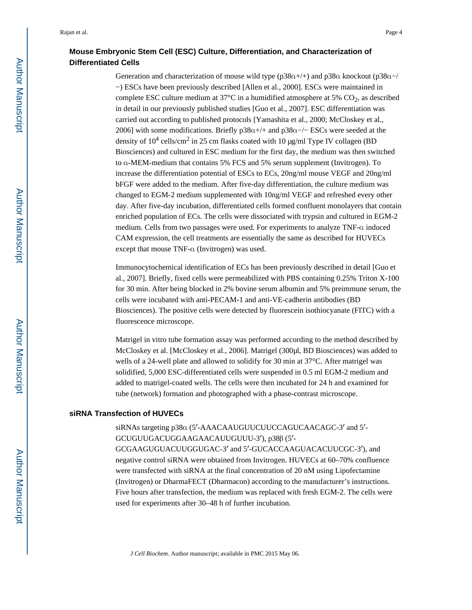## **Mouse Embryonic Stem Cell (ESC) Culture, Differentiation, and Characterization of Differentiated Cells**

Generation and characterization of mouse wild type (p38α+/+) and p38α knockout (p38α−/ −) ESCs have been previously described [Allen et al., 2000]. ESCs were maintained in complete ESC culture medium at  $37^{\circ}$ C in a humidified atmosphere at 5% CO<sub>2</sub>, as described in detail in our previously published studies [Guo et al., 2007]. ESC differentiation was carried out according to published protocols [Yamashita et al., 2000; McCloskey et al., 2006] with some modifications. Briefly  $p38a+/+$  and  $p38a-/-$  ESCs were seeded at the density of  $10^4$  cells/cm<sup>2</sup> in 25 cm flasks coated with 10  $\mu$ g/ml Type IV collagen (BD Biosciences) and cultured in ESC medium for the first day, the medium was then switched to α-MEM-medium that contains 5% FCS and 5% serum supplement (Invitrogen). To increase the differentiation potential of ESCs to ECs, 20ng/ml mouse VEGF and 20ng/ml bFGF were added to the medium. After five-day differentiation, the culture medium was changed to EGM-2 medium supplemented with 10ng/ml VEGF and refreshed every other day. After five-day incubation, differentiated cells formed confluent monolayers that contain enriched population of ECs. The cells were dissociated with trypsin and cultured in EGM-2 medium. Cells from two passages were used. For experiments to analyze TNF-α induced CAM expression, the cell treatments are essentially the same as described for HUVECs except that mouse TNF-α (Invitrogen) was used.

Immunocytochemical identification of ECs has been previously described in detail [Guo et al., 2007]. Briefly, fixed cells were permeabilized with PBS containing 0.25% Triton X-100 for 30 min. After being blocked in 2% bovine serum albumin and 5% preimmune serum, the cells were incubated with anti-PECAM-1 and anti-VE-cadherin antibodies (BD Biosciences). The positive cells were detected by fluorescein isothiocyanate (FITC) with a fluorescence microscope.

Matrigel in vitro tube formation assay was performed according to the method described by McCloskey et al. [McCloskey et al., 2006]. Matrigel (300μl, BD Biosciences) was added to wells of a 24-well plate and allowed to solidify for 30 min at 37°C. After matrigel was solidified, 5,000 ESC-differentiated cells were suspended in 0.5 ml EGM-2 medium and added to matrigel-coated wells. The cells were then incubated for 24 h and examined for tube (network) formation and photographed with a phase-contrast microscope.

#### **siRNA Transfection of HUVECs**

siRNAs targeting p38α (5′-AAACAAUGUUCUUCCAGUCAACAGC-3′ and 5′- GCUGUUGACUGGAAGAACAUUGUUU-3′), p38β (5′- GCGAAGUGUACUUGGUGAC-3′ and 5′-GUCACCAAGUACACUUCGC-3′), and negative control siRNA were obtained from Invitrogen. HUVECs at 60–70% confluence were transfected with siRNA at the final concentration of 20 nM using Lipofectamine (Invitrogen) or DharmaFECT (Dharmacon) according to the manufacturer's instructions. Five hours after transfection, the medium was replaced with fresh EGM-2. The cells were used for experiments after 30–48 h of further incubation.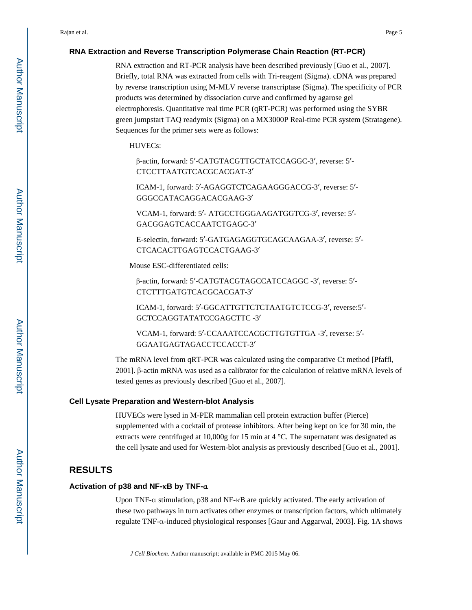#### **RNA Extraction and Reverse Transcription Polymerase Chain Reaction (RT-PCR)**

RNA extraction and RT-PCR analysis have been described previously [Guo et al., 2007]. Briefly, total RNA was extracted from cells with Tri-reagent (Sigma). cDNA was prepared by reverse transcription using M-MLV reverse transcriptase (Sigma). The specificity of PCR products was determined by dissociation curve and confirmed by agarose gel electrophoresis. Quantitative real time PCR (qRT-PCR) was performed using the SYBR green jumpstart TAQ readymix (Sigma) on a MX3000P Real-time PCR system (Stratagene). Sequences for the primer sets were as follows:

HUVECs:

β-actin, forward: 5′-CATGTACGTTGCTATCCAGGC-3′, reverse: 5′- CTCCTTAATGTCACGCACGAT-3′

ICAM-1, forward: 5′-AGAGGTCTCAGAAGGGACCG-3′, reverse: 5′- GGGCCATACAGGACACGAAG-3′

VCAM-1, forward: 5′- ATGCCTGGGAAGATGGTCG-3′, reverse: 5′- GACGGAGTCACCAATCTGAGC-3′

E-selectin, forward: 5′-GATGAGAGGTGCAGCAAGAA-3′, reverse: 5′- CTCACACTTGAGTCCACTGAAG-3′

Mouse ESC-differentiated cells:

β-actin, forward: 5′-CATGTACGTAGCCATCCAGGC -3′, reverse: 5′- CTCTTTGATGTCACGCACGAT-3′

ICAM-1, forward: 5′-GGCATTGTTCTCTAATGTCTCCG-3′, reverse:5′- GCTCCAGGTATATCCGAGCTTC -3′

VCAM-1, forward: 5′-CCAAATCCACGCTTGTGTTGA -3′, reverse: 5′- GGAATGAGTAGACCTCCACCT-3′

The mRNA level from qRT-PCR was calculated using the comparative Ct method [Pfaffl, 2001]. β-actin mRNA was used as a calibrator for the calculation of relative mRNA levels of tested genes as previously described [Guo et al., 2007].

#### **Cell Lysate Preparation and Western-blot Analysis**

HUVECs were lysed in M-PER mammalian cell protein extraction buffer (Pierce) supplemented with a cocktail of protease inhibitors. After being kept on ice for 30 min, the extracts were centrifuged at 10,000g for 15 min at 4 °C. The supernatant was designated as the cell lysate and used for Western-blot analysis as previously described [Guo et al., 2001].

#### **RESULTS**

#### **Activation of p38 and NF-**κ**B by TNF-**α

Upon TNF-α stimulation, p38 and NF-κB are quickly activated. The early activation of these two pathways in turn activates other enzymes or transcription factors, which ultimately regulate TNF-α-induced physiological responses [Gaur and Aggarwal, 2003]. Fig. 1A shows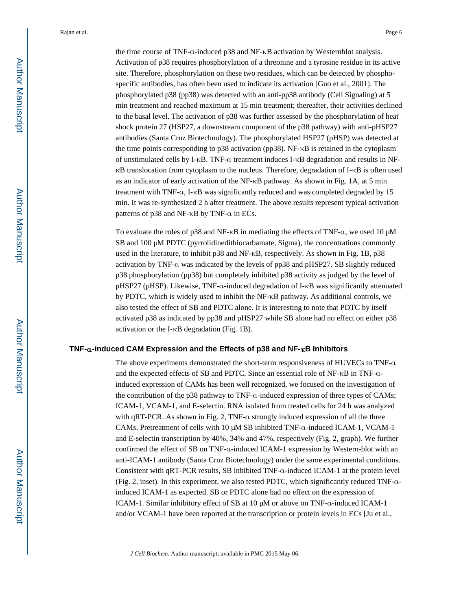the time course of TNF-α-induced p38 and NF-κB activation by Westernblot analysis. Activation of p38 requires phosphorylation of a threonine and a tyrosine residue in its active site. Therefore, phosphorylation on these two residues, which can be detected by phosphospecific antibodies, has often been used to indicate its activation [Guo et al., 2001]. The phosphorylated p38 (pp38) was detected with an anti-pp38 antibody (Cell Signaling) at 5 min treatment and reached maximum at 15 min treatment; thereafter, their activities declined to the basal level. The activation of p38 was further assessed by the phosphorylation of heat shock protein 27 (HSP27, a downstream component of the p38 pathway) with anti-pHSP27 antibodies (Santa Cruz Biotechnology). The phosphorylated HSP27 (pHSP) was detected at the time points corresponding to p38 activation (pp38). NF-κB is retained in the cytoplasm of unstimulated cells by I-κB. TNF-α treatment induces I-κB degradation and results in NFκB translocation from cytoplasm to the nucleus. Therefore, degradation of I-κB is often used as an indicator of early activation of the NF-κB pathway. As shown in Fig. 1A, at 5 min treatment with TNF-α, I-κB was significantly reduced and was completed degraded by 15 min. It was re-synthesized 2 h after treatment. The above results represent typical activation patterns of p38 and NF-κB by TNF-α in ECs.

To evaluate the roles of p38 and NF- $\kappa$ B in mediating the effects of TNF- $\alpha$ , we used 10  $\mu$ M SB and 100 μM PDTC (pyrrolidinedithiocarbamate, Sigma), the concentrations commonly used in the literature, to inhibit p38 and NF-κB, respectively. As shown in Fig. 1B, p38 activation by TNF-α was indicated by the levels of pp38 and pHSP27. SB slightly reduced p38 phosphorylation (pp38) but completely inhibited p38 activity as judged by the level of pHSP27 (pHSP). Likewise, TNF-α-induced degradation of I-κB was significantly attenuated by PDTC, which is widely used to inhibit the NF-κB pathway. As additional controls, we also tested the effect of SB and PDTC alone. It is interesting to note that PDTC by itself activated p38 as indicated by pp38 and pHSP27 while SB alone had no effect on either p38 activation or the I-κB degradation (Fig. 1B).

#### **TNF-**α**-induced CAM Expression and the Effects of p38 and NF-**κ**B Inhibitors**

The above experiments demonstrated the short-term responsiveness of HUVECs to TNF-α and the expected effects of SB and PDTC. Since an essential role of NF-κB in TNF-αinduced expression of CAMs has been well recognized, we focused on the investigation of the contribution of the p38 pathway to TNF-α-induced expression of three types of CAMs; ICAM-1, VCAM-1, and E-selectin. RNA isolated from treated cells for 24 h was analyzed with qRT-PCR. As shown in Fig. 2, TNF-α strongly induced expression of all the three CAMs. Pretreatment of cells with 10 μM SB inhibited TNF-α-induced ICAM-1, VCAM-1 and E-selectin transcription by 40%, 34% and 47%, respectively (Fig. 2, graph). We further confirmed the effect of SB on TNF-α-induced ICAM-1 expression by Western-blot with an anti-ICAM-1 antibody (Santa Cruz Biotechnology) under the same experimental conditions. Consistent with qRT-PCR results, SB inhibited TNF-α-induced ICAM-1 at the protein level (Fig. 2, inset). In this experiment, we also tested PDTC, which significantly reduced TNF-αinduced ICAM-1 as expected. SB or PDTC alone had no effect on the expression of ICAM-1. Similar inhibitory effect of SB at 10 μM or above on TNF-α-induced ICAM-1 and/or VCAM-1 have been reported at the transcription or protein levels in ECs [Ju et al.,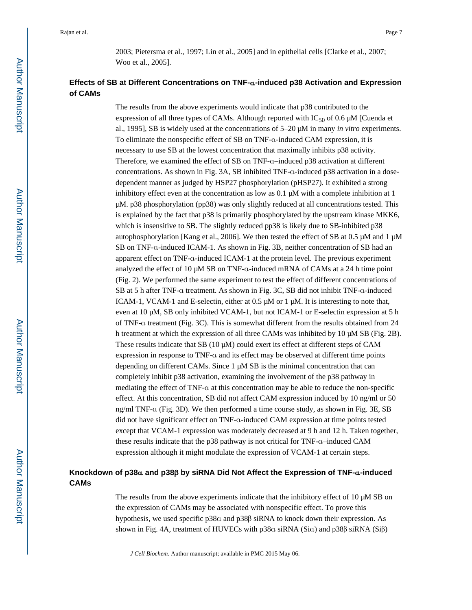2003; Pietersma et al., 1997; Lin et al., 2005] and in epithelial cells [Clarke et al., 2007; Woo et al., 2005].

## **Effects of SB at Different Concentrations on TNF-**α**-induced p38 Activation and Expression of CAMs**

The results from the above experiments would indicate that p38 contributed to the expression of all three types of CAMs. Although reported with  $IC_{50}$  of 0.6  $\mu$ M [Cuenda et al., 1995], SB is widely used at the concentrations of 5–20 μM in many *in vitro* experiments. To eliminate the nonspecific effect of SB on TNF-α-induced CAM expression, it is necessary to use SB at the lowest concentration that maximally inhibits p38 activity. Therefore, we examined the effect of SB on TNF-α–induced p38 activation at different concentrations. As shown in Fig. 3A, SB inhibited TNF-α-induced p38 activation in a dosedependent manner as judged by HSP27 phosphorylation (pHSP27). It exhibited a strong inhibitory effect even at the concentration as low as 0.1 μM with a complete inhibition at 1 μM. p38 phosphorylation (pp38) was only slightly reduced at all concentrations tested. This is explained by the fact that p38 is primarily phosphorylated by the upstream kinase MKK6, which is insensitive to SB. The slightly reduced pp38 is likely due to SB-inhibited p38 autophosphorylation [Kang et al., 2006]. We then tested the effect of SB at 0.5 μM and 1 μM SB on TNF-α-induced ICAM-1. As shown in Fig. 3B, neither concentration of SB had an apparent effect on TNF-α-induced ICAM-1 at the protein level. The previous experiment analyzed the effect of 10 μM SB on TNF-α-induced mRNA of CAMs at a 24 h time point (Fig. 2). We performed the same experiment to test the effect of different concentrations of SB at 5 h after TNF-α treatment. As shown in Fig. 3C, SB did not inhibit TNF-α-induced ICAM-1, VCAM-1 and E-selectin, either at 0.5 μM or 1 μM. It is interesting to note that, even at 10 μM, SB only inhibited VCAM-1, but not ICAM-1 or E-selectin expression at 5 h of TNF-α treatment (Fig. 3C). This is somewhat different from the results obtained from 24 h treatment at which the expression of all three CAMs was inhibited by 10 μM SB (Fig. 2B). These results indicate that SB (10 μM) could exert its effect at different steps of CAM expression in response to TNF-α and its effect may be observed at different time points depending on different CAMs. Since 1 μM SB is the minimal concentration that can completely inhibit p38 activation, examining the involvement of the p38 pathway in mediating the effect of TNF-α at this concentration may be able to reduce the non-specific effect. At this concentration, SB did not affect CAM expression induced by 10 ng/ml or 50 ng/ml TNF-α (Fig. 3D). We then performed a time course study, as shown in Fig. 3E, SB did not have significant effect on TNF-α-induced CAM expression at time points tested except that VCAM-1 expression was moderately decreased at 9 h and 12 h. Taken together, these results indicate that the p38 pathway is not critical for TNF-α–induced CAM expression although it might modulate the expression of VCAM-1 at certain steps.

## **Knockdown of p38**α **and p38**β **by siRNA Did Not Affect the Expression of TNF-**α**-induced CAMs**

The results from the above experiments indicate that the inhibitory effect of 10 μM SB on the expression of CAMs may be associated with nonspecific effect. To prove this hypothesis, we used specific p38α and p38β siRNA to knock down their expression. As shown in Fig. 4A, treatment of HUVECs with p38α siRNA (Siα) and p38β siRNA (Siβ)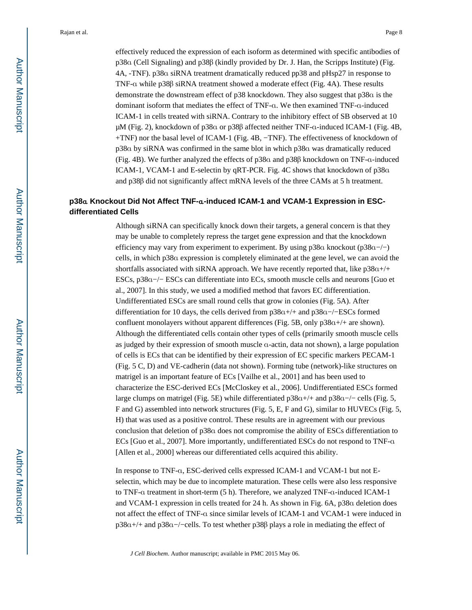effectively reduced the expression of each isoform as determined with specific antibodies of p38α (Cell Signaling) and p38β (kindly provided by Dr. J. Han, the Scripps Institute) (Fig. 4A, -TNF). p38α siRNA treatment dramatically reduced pp38 and pHsp27 in response to TNF-α while p38β siRNA treatment showed a moderate effect (Fig. 4A). These results demonstrate the downstream effect of p38 knockdown. They also suggest that p38α is the dominant isoform that mediates the effect of TNF-α. We then examined TNF-α-induced ICAM-1 in cells treated with siRNA. Contrary to the inhibitory effect of SB observed at 10 μM (Fig. 2), knockdown of p38α or p38β affected neither TNF-α-induced ICAM-1 (Fig. 4B, +TNF) nor the basal level of ICAM-1 (Fig. 4B, −TNF). The effectiveness of knockdown of p38α by siRNA was confirmed in the same blot in which p38α was dramatically reduced (Fig. 4B). We further analyzed the effects of p38α and p38β knockdown on TNF-α-induced ICAM-1, VCAM-1 and E-selectin by qRT-PCR. Fig. 4C shows that knockdown of p38α and p38β did not significantly affect mRNA levels of the three CAMs at 5 h treatment.

### **p38**α **Knockout Did Not Affect TNF-**α**-induced ICAM-1 and VCAM-1 Expression in ESCdifferentiated Cells**

Although siRNA can specifically knock down their targets, a general concern is that they may be unable to completely repress the target gene expression and that the knockdown efficiency may vary from experiment to experiment. By using  $p38a$  knockout ( $p38a$ -/−) cells, in which p38α expression is completely eliminated at the gene level, we can avoid the shortfalls associated with siRNA approach. We have recently reported that, like  $p38a+/+$ ESCs, p38α−/− ESCs can differentiate into ECs, smooth muscle cells and neurons [Guo et al., 2007]. In this study, we used a modified method that favors EC differentiation. Undifferentiated ESCs are small round cells that grow in colonies (Fig. 5A). After differentiation for 10 days, the cells derived from p38α+/+ and p38α−/−ESCs formed confluent monolayers without apparent differences (Fig. 5B, only  $p38a+/+$  are shown). Although the differentiated cells contain other types of cells (primarily smooth muscle cells as judged by their expression of smooth muscle α-actin, data not shown), a large population of cells is ECs that can be identified by their expression of EC specific markers PECAM-1 (Fig. 5 C, D) and VE-cadherin (data not shown). Forming tube (network)-like structures on matrigel is an important feature of ECs [Vailhe et al., 2001] and has been used to characterize the ESC-derived ECs [McCloskey et al., 2006]. Undifferentiated ESCs formed large clumps on matrigel (Fig. 5E) while differentiated p38α+/+ and p38α−/− cells (Fig. 5, F and G) assembled into network structures (Fig. 5, E, F and G), similar to HUVECs (Fig. 5, H) that was used as a positive control. These results are in agreement with our previous conclusion that deletion of p38α does not compromise the ability of ESCs differentiation to ECs [Guo et al., 2007]. More importantly, undifferentiated ESCs do not respond to TNF-α [Allen et al., 2000] whereas our differentiated cells acquired this ability.

In response to TNF-α, ESC-derived cells expressed ICAM-1 and VCAM-1 but not Eselectin, which may be due to incomplete maturation. These cells were also less responsive to TNF-α treatment in short-term (5 h). Therefore, we analyzed TNF-α-induced ICAM-1 and VCAM-1 expression in cells treated for 24 h. As shown in Fig. 6A, p38α deletion does not affect the effect of TNF-α since similar levels of ICAM-1 and VCAM-1 were induced in p38α+/+ and p38α−/−cells. To test whether p38β plays a role in mediating the effect of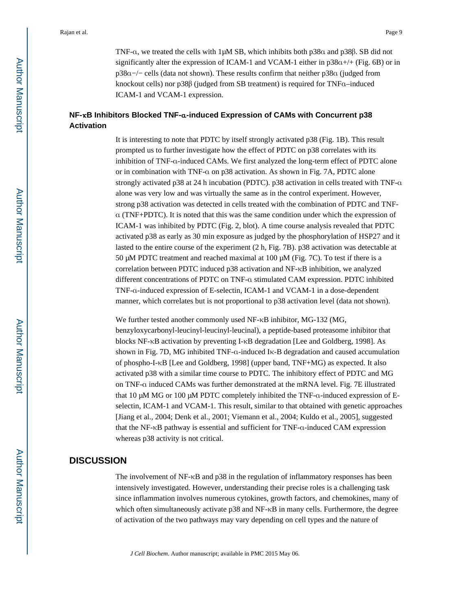TNF-α, we treated the cells with 1μM SB, which inhibits both p38α and p38β. SB did not significantly alter the expression of ICAM-1 and VCAM-1 either in  $p38a+/+$  (Fig. 6B) or in p38α−/− cells (data not shown). These results confirm that neither p38α (judged from knockout cells) nor p38β (judged from SB treatment) is required for TNFα–induced ICAM-1 and VCAM-1 expression.

## **NF-**κ**B Inhibitors Blocked TNF-**α**-induced Expression of CAMs with Concurrent p38 Activation**

It is interesting to note that PDTC by itself strongly activated p38 (Fig. 1B). This result prompted us to further investigate how the effect of PDTC on p38 correlates with its inhibition of TNF-α-induced CAMs. We first analyzed the long-term effect of PDTC alone or in combination with TNF-α on p38 activation. As shown in Fig. 7A, PDTC alone strongly activated p38 at 24 h incubation (PDTC). p38 activation in cells treated with TNF-α alone was very low and was virtually the same as in the control experiment. However, strong p38 activation was detected in cells treated with the combination of PDTC and TNFα (TNF+PDTC). It is noted that this was the same condition under which the expression of ICAM-1 was inhibited by PDTC (Fig. 2, blot). A time course analysis revealed that PDTC activated p38 as early as 30 min exposure as judged by the phosphorylation of HSP27 and it lasted to the entire course of the experiment (2 h, Fig. 7B). p38 activation was detectable at 50 μM PDTC treatment and reached maximal at 100 μM (Fig. 7C). To test if there is a correlation between PDTC induced p38 activation and NF-κB inhibition, we analyzed different concentrations of PDTC on TNF-α stimulated CAM expression. PDTC inhibited TNF-α-induced expression of E-selectin, ICAM-1 and VCAM-1 in a dose-dependent manner, which correlates but is not proportional to p38 activation level (data not shown).

We further tested another commonly used NF-κB inhibitor, MG-132 (MG, benzyloxycarbonyl-leucinyl-leucinyl-leucinal), a peptide-based proteasome inhibitor that blocks NF-κB activation by preventing I-κB degradation [Lee and Goldberg, 1998]. As shown in Fig. 7D, MG inhibited TNF-α-induced Iκ-B degradation and caused accumulation of phospho-I-κB [Lee and Goldberg, 1998] (upper band, TNF+MG) as expected. It also activated p38 with a similar time course to PDTC. The inhibitory effect of PDTC and MG on TNF-α induced CAMs was further demonstrated at the mRNA level. Fig. 7E illustrated that 10 μM MG or 100 μM PDTC completely inhibited the TNF-α-induced expression of Eselectin, ICAM-1 and VCAM-1. This result, similar to that obtained with genetic approaches [Jiang et al., 2004; Denk et al., 2001; Viemann et al., 2004; Kuldo et al., 2005], suggested that the NF-κB pathway is essential and sufficient for TNF-α-induced CAM expression whereas p38 activity is not critical.

#### **DISCUSSION**

The involvement of NF-κB and p38 in the regulation of inflammatory responses has been intensively investigated. However, understanding their precise roles is a challenging task since inflammation involves numerous cytokines, growth factors, and chemokines, many of which often simultaneously activate p38 and NF-κB in many cells. Furthermore, the degree of activation of the two pathways may vary depending on cell types and the nature of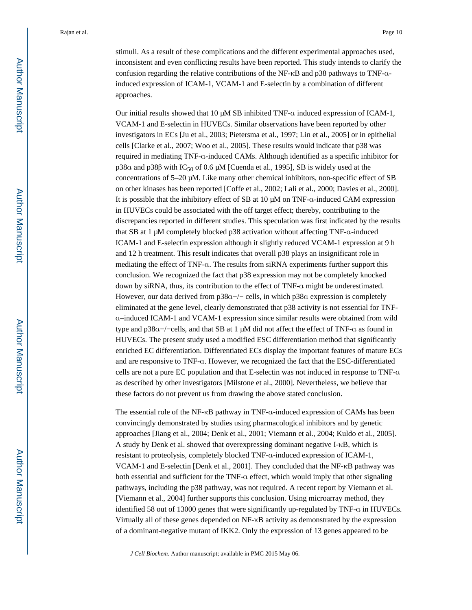stimuli. As a result of these complications and the different experimental approaches used, inconsistent and even conflicting results have been reported. This study intends to clarify the confusion regarding the relative contributions of the NF-κB and p38 pathways to TNF-αinduced expression of ICAM-1, VCAM-1 and E-selectin by a combination of different approaches.

Our initial results showed that 10 μM SB inhibited TNF-α induced expression of ICAM-1, VCAM-1 and E-selectin in HUVECs. Similar observations have been reported by other investigators in ECs [Ju et al., 2003; Pietersma et al., 1997; Lin et al., 2005] or in epithelial cells [Clarke et al., 2007; Woo et al., 2005]. These results would indicate that p38 was required in mediating TNF-α-induced CAMs. Although identified as a specific inhibitor for p38 $α$  and p38 $β$  with IC<sub>50</sub> of 0.6 μM [Cuenda et al., 1995], SB is widely used at the concentrations of 5–20 μM. Like many other chemical inhibitors, non-specific effect of SB on other kinases has been reported [Coffe et al., 2002; Lali et al., 2000; Davies et al., 2000]. It is possible that the inhibitory effect of SB at 10 μM on TNF-α-induced CAM expression in HUVECs could be associated with the off target effect; thereby, contributing to the discrepancies reported in different studies. This speculation was first indicated by the results that SB at 1 μM completely blocked p38 activation without affecting TNF-α-induced ICAM-1 and E-selectin expression although it slightly reduced VCAM-1 expression at 9 h and 12 h treatment. This result indicates that overall p38 plays an insignificant role in mediating the effect of TNF-α. The results from siRNA experiments further support this conclusion. We recognized the fact that p38 expression may not be completely knocked down by siRNA, thus, its contribution to the effect of TNF-α might be underestimated. However, our data derived from p38α−/− cells, in which p38α expression is completely eliminated at the gene level, clearly demonstrated that p38 activity is not essential for TNFα–induced ICAM-1 and VCAM-1 expression since similar results were obtained from wild type and p38α−/−cells, and that SB at 1 μM did not affect the effect of TNF-α as found in HUVECs. The present study used a modified ESC differentiation method that significantly enriched EC differentiation. Differentiated ECs display the important features of mature ECs and are responsive to TNF-α. However, we recognized the fact that the ESC-differentiated cells are not a pure EC population and that E-selectin was not induced in response to TNF-α as described by other investigators [Milstone et al., 2000]. Nevertheless, we believe that these factors do not prevent us from drawing the above stated conclusion.

The essential role of the NF-κB pathway in TNF-α-induced expression of CAMs has been convincingly demonstrated by studies using pharmacological inhibitors and by genetic approaches [Jiang et al., 2004; Denk et al., 2001; Viemann et al., 2004; Kuldo et al., 2005]. A study by Denk et al. showed that overexpressing dominant negative I-κB, which is resistant to proteolysis, completely blocked TNF-α-induced expression of ICAM-1, VCAM-1 and E-selectin [Denk et al., 2001]. They concluded that the NF-κB pathway was both essential and sufficient for the TNF-α effect, which would imply that other signaling pathways, including the p38 pathway, was not required. A recent report by Viemann et al. [Viemann et al., 2004] further supports this conclusion. Using microarray method, they identified 58 out of 13000 genes that were significantly up-regulated by TNF- $\alpha$  in HUVECs. Virtually all of these genes depended on NF-κB activity as demonstrated by the expression of a dominant-negative mutant of IKK2. Only the expression of 13 genes appeared to be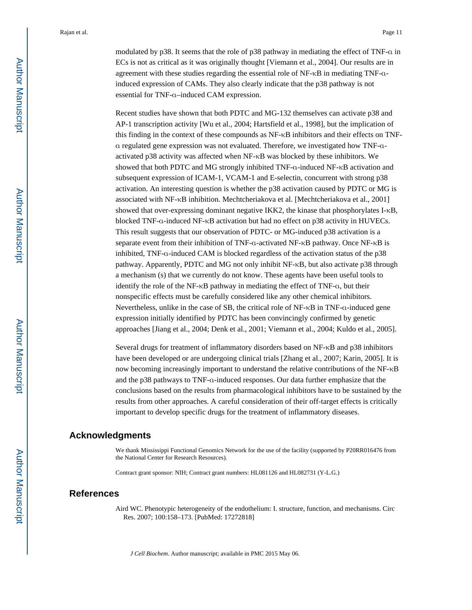modulated by p38. It seems that the role of p38 pathway in mediating the effect of TNF-α in ECs is not as critical as it was originally thought [Viemann et al., 2004]. Our results are in agreement with these studies regarding the essential role of NF-κB in mediating TNF-αinduced expression of CAMs. They also clearly indicate that the p38 pathway is not essential for TNF-α–induced CAM expression.

Recent studies have shown that both PDTC and MG-132 themselves can activate p38 and AP-1 transcription activity [Wu et al., 2004; Hartsfield et al., 1998], but the implication of this finding in the context of these compounds as NF-κB inhibitors and their effects on TNFα regulated gene expression was not evaluated. Therefore, we investigated how TNF-αactivated p38 activity was affected when NF-κB was blocked by these inhibitors. We showed that both PDTC and MG strongly inhibited TNF-α-induced NF-κB activation and subsequent expression of ICAM-1, VCAM-1 and E-selectin, concurrent with strong p38 activation. An interesting question is whether the p38 activation caused by PDTC or MG is associated with NF-κB inhibition. Mechtcheriakova et al. [Mechtcheriakova et al., 2001] showed that over-expressing dominant negative IKK2, the kinase that phosphorylates I-κB, blocked TNF-α-induced NF-κB activation but had no effect on p38 activity in HUVECs. This result suggests that our observation of PDTC- or MG-induced p38 activation is a separate event from their inhibition of TNF-α-activated NF-κB pathway. Once NF-κB is inhibited, TNF-α-induced CAM is blocked regardless of the activation status of the p38 pathway. Apparently, PDTC and MG not only inhibit NF-κB, but also activate p38 through a mechanism (s) that we currently do not know. These agents have been useful tools to identify the role of the NF-κB pathway in mediating the effect of TNF-α, but their nonspecific effects must be carefully considered like any other chemical inhibitors. Nevertheless, unlike in the case of SB, the critical role of NF-κB in TNF-α-induced gene expression initially identified by PDTC has been convincingly confirmed by genetic approaches [Jiang et al., 2004; Denk et al., 2001; Viemann et al., 2004; Kuldo et al., 2005].

Several drugs for treatment of inflammatory disorders based on NF-κB and p38 inhibitors have been developed or are undergoing clinical trials [Zhang et al., 2007; Karin, 2005]. It is now becoming increasingly important to understand the relative contributions of the NF-κB and the p38 pathways to TNF-α-induced responses. Our data further emphasize that the conclusions based on the results from pharmacological inhibitors have to be sustained by the results from other approaches. A careful consideration of their off-target effects is critically important to develop specific drugs for the treatment of inflammatory diseases.

#### **Acknowledgments**

We thank Mississippi Functional Genomics Network for the use of the facility (supported by P20RR016476 from the National Center for Research Resources).

Contract grant sponsor: NIH; Contract grant numbers: HL081126 and HL082731 (Y-L.G.)

#### **References**

Aird WC. Phenotypic heterogeneity of the endothelium: I. structure, function, and mechanisms. Circ Res. 2007; 100:158–173. [PubMed: 17272818]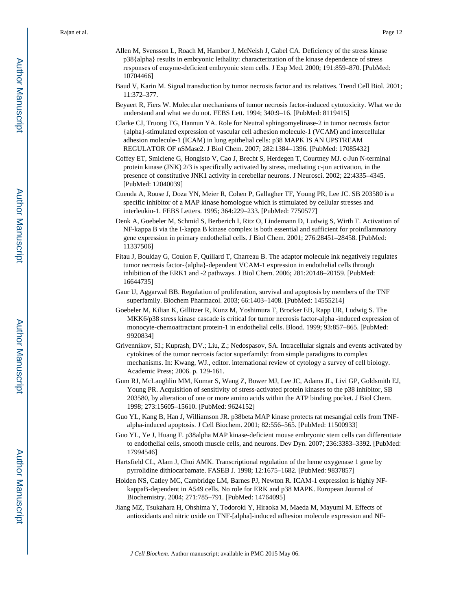- Allen M, Svensson L, Roach M, Hambor J, McNeish J, Gabel CA. Deficiency of the stress kinase p38{alpha} results in embryonic lethality: characterization of the kinase dependence of stress responses of enzyme-deficient embryonic stem cells. J Exp Med. 2000; 191:859–870. [PubMed: 10704466]
- Baud V, Karin M. Signal transduction by tumor necrosis factor and its relatives. Trend Cell Biol. 2001; 11:372–377.
- Beyaert R, Fiers W. Molecular mechanisms of tumor necrosis factor-induced cytotoxicity. What we do understand and what we do not. FEBS Lett. 1994; 340:9–16. [PubMed: 8119415]
- Clarke CJ, Truong TG, Hannun YA. Role for Neutral sphingomyelinase-2 in tumor necrosis factor {alpha}-stimulated expression of vascular cell adhesion molecule-1 (VCAM) and intercellular adhesion molecule-1 (ICAM) in lung epithelial cells: p38 MAPK IS AN UPSTREAM REGULATOR OF nSMase2. J Biol Chem. 2007; 282:1384–1396. [PubMed: 17085432]
- Coffey ET, Smiciene G, Hongisto V, Cao J, Brecht S, Herdegen T, Courtney MJ. c-Jun N-terminal protein kinase (JNK) 2/3 is specifically activated by stress, mediating c-jun activation, in the presence of constitutive JNK1 activity in cerebellar neurons. J Neurosci. 2002; 22:4335–4345. [PubMed: 12040039]
- Cuenda A, Rouse J, Doza YN, Meier R, Cohen P, Gallagher TF, Young PR, Lee JC. SB 203580 is a specific inhibitor of a MAP kinase homologue which is stimulated by cellular stresses and interleukin-1. FEBS Letters. 1995; 364:229–233. [PubMed: 7750577]
- Denk A, Goebeler M, Schmid S, Berberich I, Ritz O, Lindemann D, Ludwig S, Wirth T. Activation of NF-kappa B via the I-kappa B kinase complex is both essential and sufficient for proinflammatory gene expression in primary endothelial cells. J Biol Chem. 2001; 276:28451–28458. [PubMed: 11337506]
- Fitau J, Boulday G, Coulon F, Quillard T, Charreau B. The adaptor molecule lnk negatively regulates tumor necrosis factor-{alpha}-dependent VCAM-1 expression in endothelial cells through inhibition of the ERK1 and -2 pathways. J Biol Chem. 2006; 281:20148–20159. [PubMed: 16644735]
- Gaur U, Aggarwal BB. Regulation of proliferation, survival and apoptosis by members of the TNF superfamily. Biochem Pharmacol. 2003; 66:1403–1408. [PubMed: 14555214]
- Goebeler M, Kilian K, Gillitzer R, Kunz M, Yoshimura T, Brocker EB, Rapp UR, Ludwig S. The MKK6/p38 stress kinase cascade is critical for tumor necrosis factor-alpha -induced expression of monocyte-chemoattractant protein-1 in endothelial cells. Blood. 1999; 93:857–865. [PubMed: 9920834]
- Grivennikov, SI.; Kuprash, DV.; Liu, Z.; Nedospasov, SA. Intracellular signals and events activated by cytokines of the tumor necrosis factor superfamily: from simple paradigms to complex mechanisms. In: Kwang, WJ., editor. international review of cytology a survey of cell biology. Academic Press; 2006. p. 129-161.
- Gum RJ, McLaughlin MM, Kumar S, Wang Z, Bower MJ, Lee JC, Adams JL, Livi GP, Goldsmith EJ, Young PR. Acquisition of sensitivity of stress-activated protein kinases to the p38 inhibitor, SB 203580, by alteration of one or more amino acids within the ATP binding pocket. J Biol Chem. 1998; 273:15605–15610. [PubMed: 9624152]
- Guo YL, Kang B, Han J, Williamson JR. p38beta MAP kinase protects rat mesangial cells from TNFalpha-induced apoptosis. J Cell Biochem. 2001; 82:556–565. [PubMed: 11500933]
- Guo YL, Ye J, Huang F. p38alpha MAP kinase-deficient mouse embryonic stem cells can differentiate to endothelial cells, smooth muscle cells, and neurons. Dev Dyn. 2007; 236:3383–3392. [PubMed: 17994546]
- Hartsfield CL, Alam J, Choi AMK. Transcriptional regulation of the heme oxygenase 1 gene by pyrrolidine dithiocarbamate. FASEB J. 1998; 12:1675–1682. [PubMed: 9837857]
- Holden NS, Catley MC, Cambridge LM, Barnes PJ, Newton R. ICAM-1 expression is highly NFkappaB-dependent in A549 cells. No role for ERK and p38 MAPK. European Journal of Biochemistry. 2004; 271:785–791. [PubMed: 14764095]
- Jiang MZ, Tsukahara H, Ohshima Y, Todoroki Y, Hiraoka M, Maeda M, Mayumi M. Effects of antioxidants and nitric oxide on TNF-[alpha]-induced adhesion molecule expression and NF-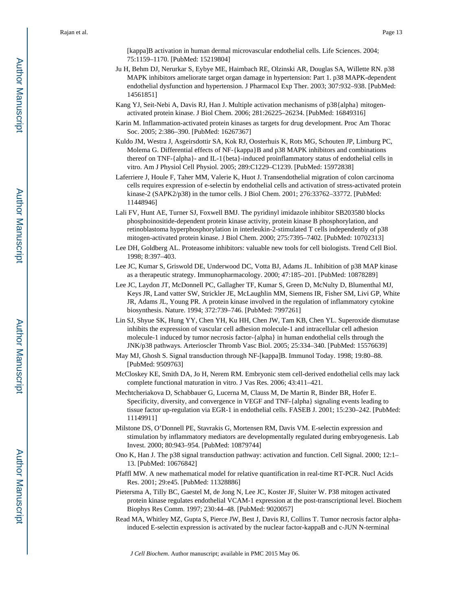[kappa]B activation in human dermal microvascular endothelial cells. Life Sciences. 2004; 75:1159–1170. [PubMed: 15219804]

- Ju H, Behm DJ, Nerurkar S, Eybye ME, Haimbach RE, Olzinski AR, Douglas SA, Willette RN. p38 MAPK inhibitors ameliorate target organ damage in hypertension: Part 1. p38 MAPK-dependent endothelial dysfunction and hypertension. J Pharmacol Exp Ther. 2003; 307:932–938. [PubMed: 14561851]
- Kang YJ, Seit-Nebi A, Davis RJ, Han J. Multiple activation mechanisms of p38{alpha} mitogenactivated protein kinase. J Biol Chem. 2006; 281:26225–26234. [PubMed: 16849316]
- Karin M. Inflammation-activated protein kinases as targets for drug development. Proc Am Thorac Soc. 2005; 2:386–390. [PubMed: 16267367]
- Kuldo JM, Westra J, Asgeirsdottir SA, Kok RJ, Oosterhuis K, Rots MG, Schouten JP, Limburg PC, Molema G. Differential effects of NF-{kappa}B and p38 MAPK inhibitors and combinations thereof on TNF-{alpha}- and IL-1{beta}-induced proinflammatory status of endothelial cells in vitro. Am J Physiol Cell Physiol. 2005; 289:C1229–C1239. [PubMed: 15972838]
- Laferriere J, Houle F, Taher MM, Valerie K, Huot J. Transendothelial migration of colon carcinoma cells requires expression of e-selectin by endothelial cells and activation of stress-activated protein kinase-2 (SAPK2/p38) in the tumor cells. J Biol Chem. 2001; 276:33762–33772. [PubMed: 11448946]
- Lali FV, Hunt AE, Turner SJ, Foxwell BMJ. The pyridinyl imidazole inhibitor SB203580 blocks phosphoinositide-dependent protein kinase activity, protein kinase B phosphorylation, and retinoblastoma hyperphosphorylation in interleukin-2-stimulated T cells independently of p38 mitogen-activated protein kinase. J Biol Chem. 2000; 275:7395–7402. [PubMed: 10702313]
- Lee DH, Goldberg AL. Proteasome inhibitors: valuable new tools for cell biologists. Trend Cell Biol. 1998; 8:397–403.
- Lee JC, Kumar S, Griswold DE, Underwood DC, Votta BJ, Adams JL. Inhibition of p38 MAP kinase as a therapeutic strategy. Immunopharmacology. 2000; 47:185–201. [PubMed: 10878289]
- Lee JC, Laydon JT, McDonnell PC, Gallagher TF, Kumar S, Green D, McNulty D, Blumenthal MJ, Keys JR, Land vatter SW, Strickler JE, McLaughlin MM, Siemens IR, Fisher SM, Livi GP, White JR, Adams JL, Young PR. A protein kinase involved in the regulation of inflammatory cytokine biosynthesis. Nature. 1994; 372:739–746. [PubMed: 7997261]
- Lin SJ, Shyue SK, Hung YY, Chen YH, Ku HH, Chen JW, Tam KB, Chen YL. Superoxide dismutase inhibits the expression of vascular cell adhesion molecule-1 and intracellular cell adhesion molecule-1 induced by tumor necrosis factor-{alpha} in human endothelial cells through the JNK/p38 pathways. Arterioscler Thromb Vasc Biol. 2005; 25:334–340. [PubMed: 15576639]
- May MJ, Ghosh S. Signal transduction through NF-[kappa]B. Immunol Today. 1998; 19:80–88. [PubMed: 9509763]
- McCloskey KE, Smith DA, Jo H, Nerem RM. Embryonic stem cell-derived endothelial cells may lack complete functional maturation in vitro. J Vas Res. 2006; 43:411–421.
- Mechtcheriakova D, Schabbauer G, Lucerna M, Clauss M, De Martin R, Binder BR, Hofer E. Specificity, diversity, and convergence in VEGF and TNF-{alpha} signaling events leading to tissue factor up-regulation via EGR-1 in endothelial cells. FASEB J. 2001; 15:230–242. [PubMed: 11149911]
- Milstone DS, O'Donnell PE, Stavrakis G, Mortensen RM, Davis VM. E-selectin expression and stimulation by inflammatory mediators are developmentally regulated during embryogenesis. Lab Invest. 2000; 80:943–954. [PubMed: 10879744]
- Ono K, Han J. The p38 signal transduction pathway: activation and function. Cell Signal. 2000; 12:1– 13. [PubMed: 10676842]
- Pfaffl MW. A new mathematical model for relative quantification in real-time RT-PCR. Nucl Acids Res. 2001; 29:e45. [PubMed: 11328886]
- Pietersma A, Tilly BC, Gaestel M, de Jong N, Lee JC, Koster JF, Sluiter W. P38 mitogen activated protein kinase regulates endothelial VCAM-1 expression at the post-transcriptional level. Biochem Biophys Res Comm. 1997; 230:44–48. [PubMed: 9020057]
- Read MA, Whitley MZ, Gupta S, Pierce JW, Best J, Davis RJ, Collins T. Tumor necrosis factor alphainduced E-selectin expression is activated by the nuclear factor-kappaB and c-JUN N-terminal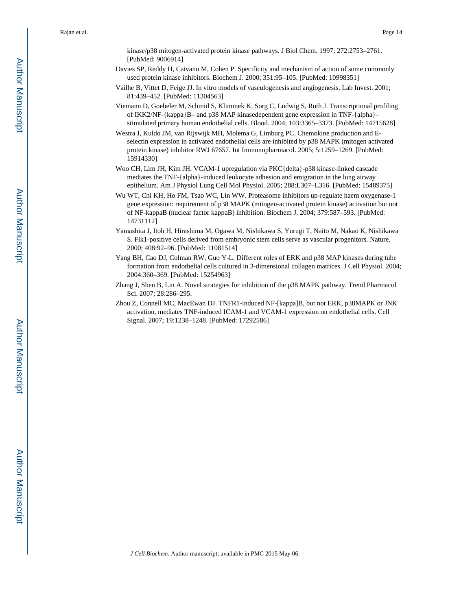kinase/p38 mitogen-activated protein kinase pathways. J Biol Chem. 1997; 272:2753–2761. [PubMed: 9006914]

- Davies SP, Reddy H, Caivano M, Cohen P. Specificity and mechanism of action of some commonly used protein kinase inhibitors. Biochem J. 2000; 351:95–105. [PubMed: 10998351]
- Vailhe B, Vittet D, Feige JJ. In vitro models of vasculogenesis and angiogenesis. Lab Invest. 2001; 81:439–452. [PubMed: 11304563]
- Viemann D, Goebeler M, Schmid S, Klimmek K, Sorg C, Ludwig S, Roth J. Transcriptional profiling of IKK2/NF-{kappa}B– and p38 MAP kinasedependent gene expression in TNF-{alpha}– stimulated primary human endothelial cells. Blood. 2004; 103:3365–3373. [PubMed: 14715628]

Westra J, Kuldo JM, van Rijswijk MH, Molema G, Limburg PC. Chemokine production and Eselectin expression in activated endothelial cells are inhibited by p38 MAPK (mitogen activated protein kinase) inhibitor RWJ 67657. Int Immunopharmacol. 2005; 5:1259–1269. [PubMed: 15914330]

- Woo CH, Lim JH, Kim JH. VCAM-1 upregulation via PKC{delta}-p38 kinase-linked cascade mediates the TNF-{alpha}-induced leukocyte adhesion and emigration in the lung airway epithelium. Am J Physiol Lung Cell Mol Physiol. 2005; 288:L307–L316. [PubMed: 15489375]
- Wu WT, Chi KH, Ho FM, Tsao WC, Lin WW. Proteasome inhibitors up-regulate haem oxygenase-1 gene expression: requirement of p38 MAPK (mitogen-activated protein kinase) activation but not of NF-kappaB (nuclear factor kappaB) inhibition. Biochem J. 2004; 379:587–593. [PubMed: 14731112]
- Yamashita J, Itoh H, Hirashima M, Ogawa M, Nishikawa S, Yurugi T, Naito M, Nakao K, Nishikawa S. Flk1-positive cells derived from embryonic stem cells serve as vascular progenitors. Nature. 2000; 408:92–96. [PubMed: 11081514]
- Yang BH, Cao DJ, Colman RW, Guo Y-L. Different roles of ERK and p38 MAP kinases during tube formation from endothelial cells cultured in 3-dimensional collagen matrices. J Cell Physiol. 2004; 2004:360–369. [PubMed: 15254963]
- Zhang J, Shen B, Lin A. Novel strategies for inhibition of the p38 MAPK pathway. Trend Pharmacol Sci. 2007; 28:286–295.
- Zhou Z, Connell MC, MacEwan DJ. TNFR1-induced NF-[kappa]B, but not ERK, p38MAPK or JNK activation, mediates TNF-induced ICAM-1 and VCAM-1 expression on endothelial cells. Cell Signal. 2007; 19:1238–1248. [PubMed: 17292586]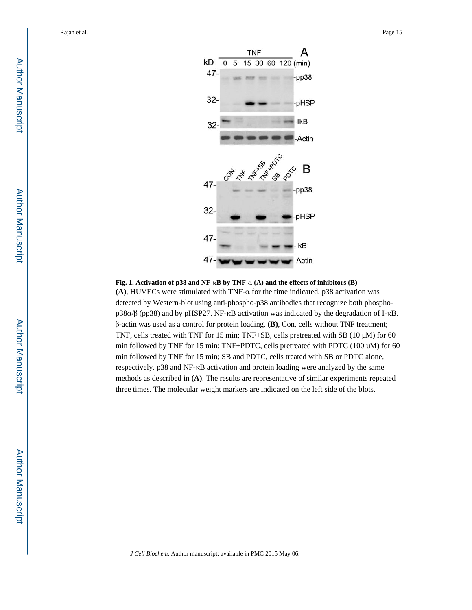

#### **Fig. 1. Activation of p38 and NF-**κ**B by TNF-**α **(A) and the effects of inhibitors (B)**

**(A)**, HUVECs were stimulated with TNF-α for the time indicated. p38 activation was detected by Western-blot using anti-phospho-p38 antibodies that recognize both phosphop38α/β (pp38) and by pHSP27. NF-κB activation was indicated by the degradation of I-κB. β-actin was used as a control for protein loading. **(B)**, Con, cells without TNF treatment; TNF, cells treated with TNF for 15 min; TNF+SB, cells pretreated with SB (10 μM) for 60 min followed by TNF for 15 min; TNF+PDTC, cells pretreated with PDTC (100 μM) for 60 min followed by TNF for 15 min; SB and PDTC, cells treated with SB or PDTC alone, respectively. p38 and NF-κB activation and protein loading were analyzed by the same methods as described in **(A)**. The results are representative of similar experiments repeated three times. The molecular weight markers are indicated on the left side of the blots.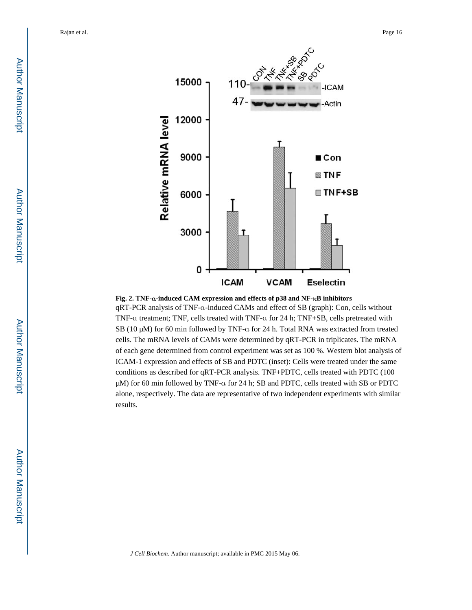

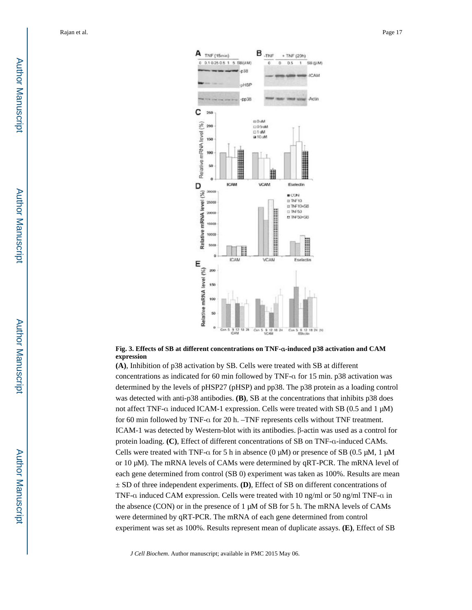

#### **Fig. 3. Effects of SB at different concentrations on TNF-**α**-induced p38 activation and CAM expression**

**(A)**, Inhibition of p38 activation by SB. Cells were treated with SB at different concentrations as indicated for 60 min followed by TNF-α for 15 min. p38 activation was determined by the levels of pHSP27 (pHSP) and pp38. The p38 protein as a loading control was detected with anti-p38 antibodies. **(B)**, SB at the concentrations that inhibits p38 does not affect TNF-α induced ICAM-1 expression. Cells were treated with SB (0.5 and 1 μM) for 60 min followed by TNF-α for 20 h. –TNF represents cells without TNF treatment. ICAM-1 was detected by Western-blot with its antibodies. β-actin was used as a control for protein loading. **(C)**, Effect of different concentrations of SB on TNF-α-induced CAMs. Cells were treated with TNF- $\alpha$  for 5 h in absence (0  $\mu$ M) or presence of SB (0.5  $\mu$ M, 1  $\mu$ M or 10  $\mu$ M). The mRNA levels of CAMs were determined by qRT-PCR. The mRNA level of each gene determined from control (SB 0) experiment was taken as 100%. Results are mean ± SD of three independent experiments. **(D)**, Effect of SB on different concentrations of TNF-α induced CAM expression. Cells were treated with 10 ng/ml or 50 ng/ml TNF-α in the absence (CON) or in the presence of 1 μM of SB for 5 h. The mRNA levels of CAMs were determined by qRT-PCR. The mRNA of each gene determined from control experiment was set as 100%. Results represent mean of duplicate assays. **(E)**, Effect of SB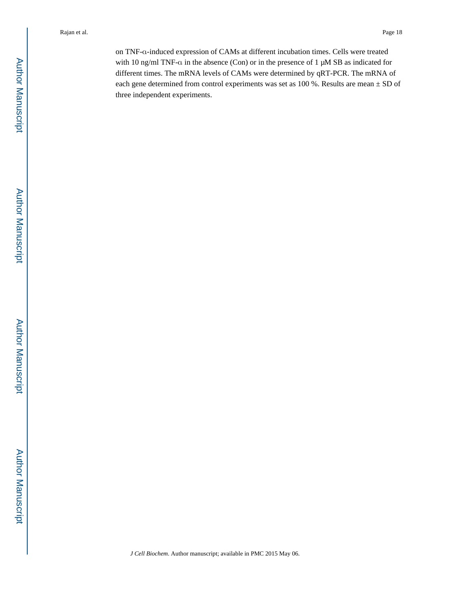on TNF-α-induced expression of CAMs at different incubation times. Cells were treated with 10 ng/ml TNF-α in the absence (Con) or in the presence of 1 μM SB as indicated for different times. The mRNA levels of CAMs were determined by qRT-PCR. The mRNA of each gene determined from control experiments was set as 100 %. Results are mean ± SD of three independent experiments.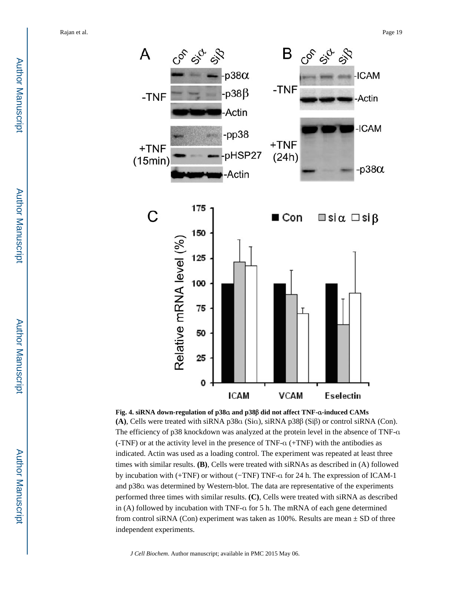

**Fig. 4. siRNA down-regulation of p38**α **and p38**β **did not affect TNF-**α**-induced CAMs (A)**, Cells were treated with siRNA p38α (Siα), siRNA p38β (Siβ) or control siRNA (Con). The efficiency of p38 knockdown was analyzed at the protein level in the absence of TNF-α (-TNF) or at the activity level in the presence of TNF-α (+TNF) with the antibodies as indicated. Actin was used as a loading control. The experiment was repeated at least three times with similar results. **(B)**, Cells were treated with siRNAs as described in (A) followed by incubation with (+TNF) or without (−TNF) TNF-α for 24 h. The expression of ICAM-1 and p38α was determined by Western-blot. The data are representative of the experiments performed three times with similar results. **(C)**, Cells were treated with siRNA as described in (A) followed by incubation with TNF-α for 5 h. The mRNA of each gene determined from control siRNA (Con) experiment was taken as  $100\%$ . Results are mean  $\pm$  SD of three independent experiments.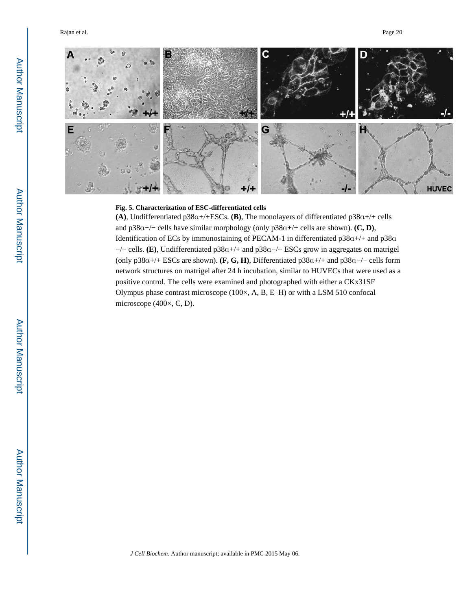

#### **Fig. 5. Characterization of ESC-differentiated cells**

**(A)**, Undifferentiated p38α+/+ESCs. **(B)**, The monolayers of differentiated p38α+/+ cells and p38α−/− cells have similar morphology (only p38α+/+ cells are shown). **(C, D)**, Identification of ECs by immunostaining of PECAM-1 in differentiated p38α+/+ and p38α −/− cells. **(E)**, Undifferentiated p38α+/+ and p38α−/− ESCs grow in aggregates on matrigel (only p38α+/+ ESCs are shown). **(F, G, H)**, Differentiated p38α+/+ and p38α−/− cells form network structures on matrigel after 24 h incubation, similar to HUVECs that were used as a positive control. The cells were examined and photographed with either a CKx31SF Olympus phase contrast microscope (100×, A, B, E–H) or with a LSM 510 confocal microscope (400×, C, D).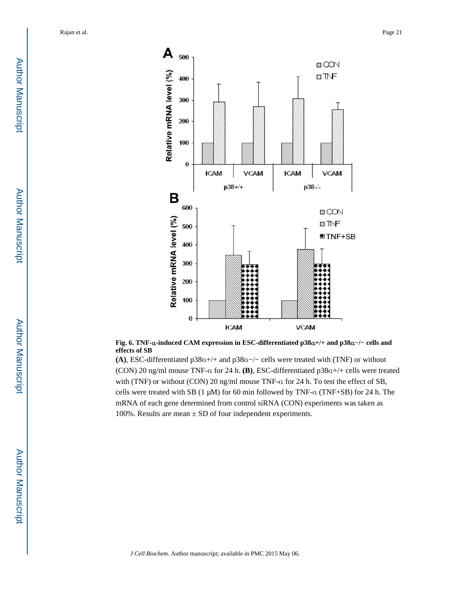

#### **Fig. 6. TNF-**α**-induced CAM expression in ESC-differentiated p38**α**+/+ and p38**α**−/− cells and effects of SB**

**(A)**, ESC-differentiated p38α+/+ and p38α−/− cells were treated with (TNF) or without (CON) 20 ng/ml mouse TNF-α for 24 h. **(B)**, ESC-differentiated p38α+/+ cells were treated with (TNF) or without (CON) 20 ng/ml mouse TNF-α for 24 h. To test the effect of SB, cells were treated with SB (1 μM) for 60 min followed by TNF-α (TNF+SB) for 24 h. The mRNA of each gene determined from control siRNA (CON) experiments was taken as 100%. Results are mean  $\pm$  SD of four independent experiments.